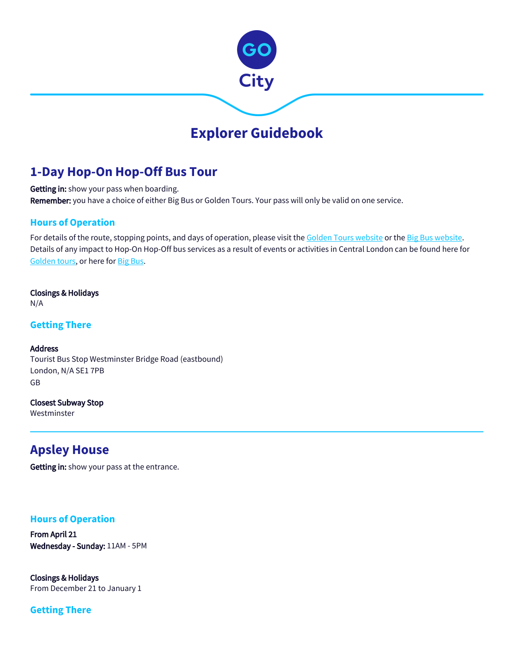

# **1-Day Hop-On Hop-Off Bus Tour**

Getting in: show your pass when boarding. Remember: you have a choice of either Big Bus or Golden Tours. Your pass will only be valid on one service.

## **Hours of Operation**

For details of the route, stopping points, and days of operation, please visit the [Golden Tours website](https://www.goldentours.com/london-hop-on-hop-off-bus-tours/hop-on-hop-off-london-bus-tour-24-hr-ticket) or the [Big Bus website.](https://www.bigbustours.com/en/london/london-routes-and-tour-maps/) Details of any impact to Hop-On Hop-Off bus services as a result of events or activities in Central London can be found here for [Golden tours](https://www.goldentours.com/london-hop-on-hop-off-bus-tours/hop-on-hop-off-london-bus-tour-24-hr-ticket), or here for [Big Bus](https://www.bigbustours.com/en/london/service-information/).

Closings & Holidays

N/A

**Getting There**

### Address

Tourist Bus Stop Westminster Bridge Road (eastbound) London, N/A SE1 7PB GB

### Closest Subway Stop

Westminster

# **Apsley House**

Getting in: show your pass at the entrance.

## **Hours of Operation**

From April 21 Wednesday - Sunday: 11AM - 5PM

Closings & Holidays From December 21 to January 1

**Getting There**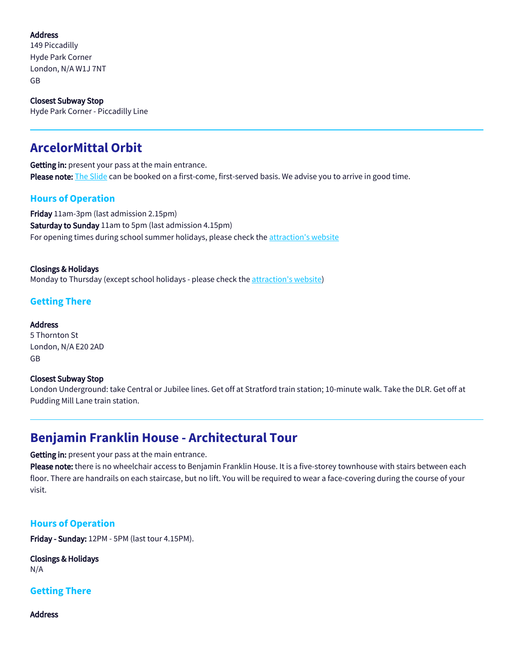### Address

149 Piccadilly Hyde Park Corner London, N/A W1J 7NT GB

Closest Subway Stop Hyde Park Corner - Piccadilly Line

# **ArcelorMittal Orbit**

Getting in: present your pass at the main entrance. Please note: [The Slide](http://arcelormittalorbit.com/whats-on/the-slide/) can be booked on a first-come, first-served basis. We advise you to arrive in good time.

## **Hours of Operation**

Friday 11am-3pm (last admission 2.15pm) Saturday to Sunday 11am to 5pm (last admission 4.15pm) For opening times during school summer holidays, please check the [attraction's website](https://arcelormittalorbit.com/visit/opening-times-prices/)

Closings & Holidays Monday to Thursday (except school holidays - please check the [attraction's website](https://arcelormittalorbit.com/visit/opening-times-prices/))

# **Getting There**

### Address

5 Thornton St London, N/A E20 2AD GB

#### Closest Subway Stop

London Underground: take Central or Jubilee lines. Get off at Stratford train station; 10-minute walk. Take the DLR. Get off at Pudding Mill Lane train station.

# **Benjamin Franklin House - Architectural Tour**

#### Getting in: present your pass at the main entrance.

Please note: there is no wheelchair access to Benjamin Franklin House. It is a five-storey townhouse with stairs between each floor. There are handrails on each staircase, but no lift. You will be required to wear a face-covering during the course of your visit.

### **Hours of Operation**

Friday - Sunday: 12PM - 5PM (last tour 4.15PM).

### Closings & Holidays

N/A

### **Getting There**

#### Address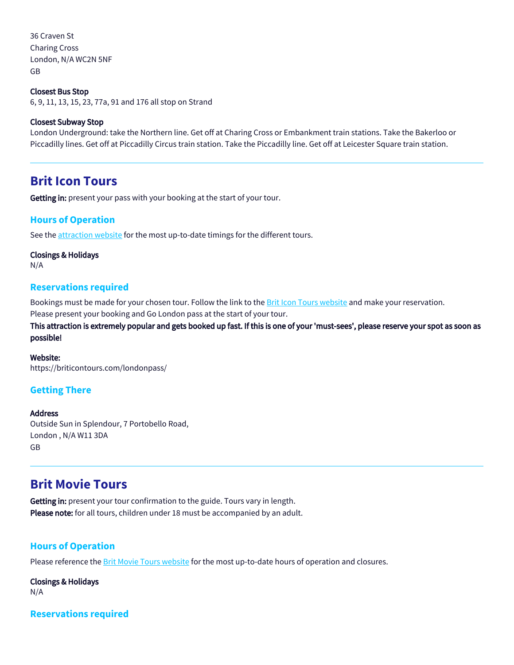36 Craven St Charing Cross London, N/A WC2N 5NF GB

#### Closest Bus Stop

6, 9, 11, 13, 15, 23, 77a, 91 and 176 all stop on Strand

#### Closest Subway Stop

London Underground: take the Northern line. Get off at Charing Cross or Embankment train stations. Take the Bakerloo or Piccadilly lines. Get off at Piccadilly Circus train station. Take the Piccadilly line. Get off at Leicester Square train station.

# **Brit Icon Tours**

Getting in: present your pass with your booking at the start of your tour.

### **Hours of Operation**

See the [attraction website](https://briticontours.com/bookings/) for the most up-to-date timings for the different tours.

#### Closings & Holidays

N/A

### **Reservations required**

Bookings must be made for your chosen tour. Follow the link to the **Brit Icon Tours website** and make your reservation. Please present your booking and Go London pass at the start of your tour.

This attraction is extremely popular and gets booked up fast. If this is one of your 'must-sees', please reserve your spot as soon as possible!

#### Website:

https://briticontours.com/londonpass/

#### **Getting There**

Address Outside Sun in Splendour, 7 Portobello Road, London , N/A W11 3DA GB

# **Brit Movie Tours**

Getting in: present your tour confirmation to the guide. Tours vary in length. Please note: for all tours, children under 18 must be accompanied by an adult.

### **Hours of Operation**

Please reference the [Brit Movie Tours website](https://britmovietours.com/) for the most up-to-date hours of operation and closures.

Closings & Holidays N/A

**Reservations required**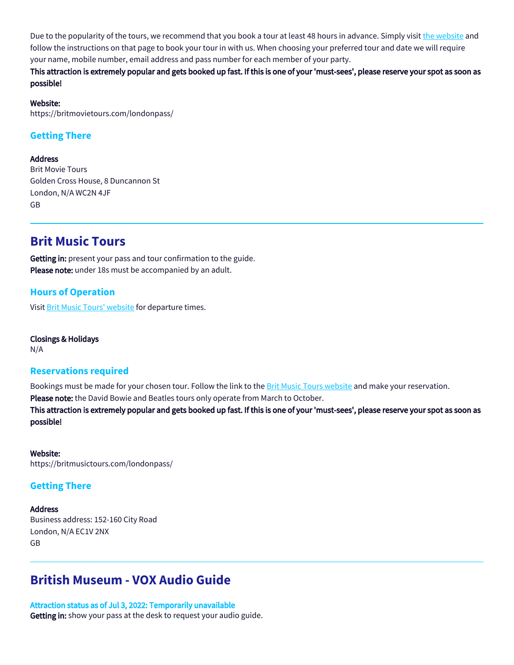Due to the popularity of the tours, we recommend that you book a tour at least 48 hours in advance. Simply visit [the website](https://britmovietours.com/londonpass/) and follow the instructions on that page to book your tour in with us. When choosing your preferred tour and date we will require your name, mobile number, email address and pass number for each member of your party.

This attraction is extremely popular and gets booked up fast. If this is one of your 'must-sees', please reserve your spot as soon as possible!

#### Website:

https://britmovietours.com/londonpass/

### **Getting There**

**Address** Brit Movie Tours Golden Cross House, 8 Duncannon St London, N/A WC2N 4JF GB

**Brit Music Tours**

Getting in: present your pass and tour confirmation to the guide. Please note: under 18s must be accompanied by an adult.

### **Hours of Operation**

Visit [Brit Music Tours' website](https://britmusictours.com/londonpass/) for departure times.

Closings & Holidays N/A

### **Reservations required**

Bookings must be made for your chosen tour. Follow the link to the [Brit Music Tours website](https://britmusictours.com/londonpass/) and make your reservation. Please note: the David Bowie and Beatles tours only operate from March to October.

This attraction is extremely popular and gets booked up fast. If this is one of your 'must-sees', please reserve your spot as soon as possible!

Website: https://britmusictours.com/londonpass/

#### **Getting There**

Address

Business address: 152-160 City Road London, N/A EC1V 2NX GB

# **British Museum - VOX Audio Guide**

Attraction status as of Jul 3, 2022: Temporarily unavailable Getting in: show your pass at the desk to request your audio guide.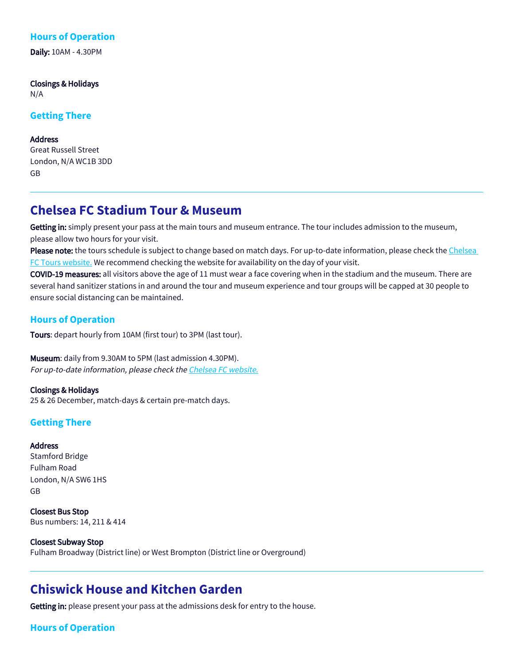# **Hours of Operation**

Daily: 10AM - 4.30PM

Closings & Holidays

N/A

# **Getting There**

**Address** 

Great Russell Street London, N/A WC1B 3DD GB

# **Chelsea FC Stadium Tour & Museum**

Getting in: simply present your pass at the main tours and museum entrance. The tour includes admission to the museum, please allow two hours for your visit.

Please note: the tours schedule is subject to change based on match days. For up-to-date information, please check the Chelsea [FC Tours website.](https://www.chelseafc.com/en/stamford-bridge/stadium-tours-and-museum/opening-times) We recommend checking the website for availability on the day of your visit.

COVID-19 measures: all visitors above the age of 11 must wear a face covering when in the stadium and the museum. There are several hand sanitizer stations in and around the tour and museum experience and tour groups will be capped at 30 people to ensure social distancing can be maintained.

## **Hours of Operation**

Tours: depart hourly from 10AM (first tour) to 3PM (last tour).

Museum: daily from 9.30AM to 5PM (last admission 4.30PM). For up-to-date information, please check the Chelsea FC website.

Closings & Holidays 25 & 26 December, match-days & certain pre-match days.

# **Getting There**

### Address

Stamford Bridge Fulham Road London, N/A SW6 1HS GB

Closest Bus Stop Bus numbers: 14, 211 & 414

### Closest Subway Stop

Fulham Broadway (District line) or West Brompton (District line or Overground)

# **Chiswick House and Kitchen Garden**

Getting in: please present your pass at the admissions desk for entry to the house.

# **Hours of Operation**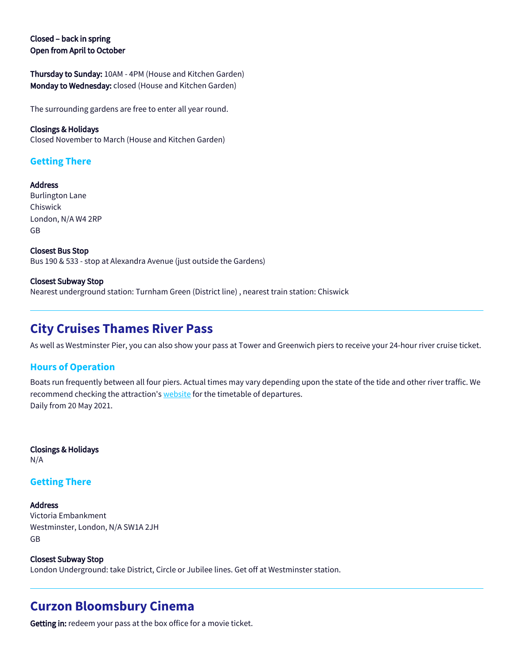### Closed – back in spring Open from April to October

Thursday to Sunday: 10AM - 4PM (House and Kitchen Garden) Monday to Wednesday: closed (House and Kitchen Garden)

The surrounding gardens are free to enter all year round.

#### Closings & Holidays Closed November to March (House and Kitchen Garden)

# **Getting There**

## **Address** Burlington Lane Chiswick London, N/A W4 2RP GB

Closest Bus Stop Bus 190 & 533 - stop at Alexandra Avenue (just outside the Gardens)

### Closest Subway Stop Nearest underground station: Turnham Green (District line) , nearest train station: Chiswick

# **City Cruises Thames River Pass**

As well as Westminster Pier, you can also show your pass at Tower and Greenwich piers to receive your 24-hour river cruise ticket.

# **Hours of Operation**

Boats run frequently between all four piers. Actual times may vary depending upon the state of the tide and other river traffic. We recommend checking the attraction's [website](https://www.cityexperiences.com/london/city-cruises/sightseeing-tours/) for the timetable of departures. Daily from 20 May 2021.

Closings & Holidays N/A

# **Getting There**

**Address** Victoria Embankment Westminster, London, N/A SW1A 2JH GB

Closest Subway Stop London Underground: take District, Circle or Jubilee lines. Get off at Westminster station.

# **Curzon Bloomsbury Cinema**

Getting in: redeem your pass at the box office for a movie ticket.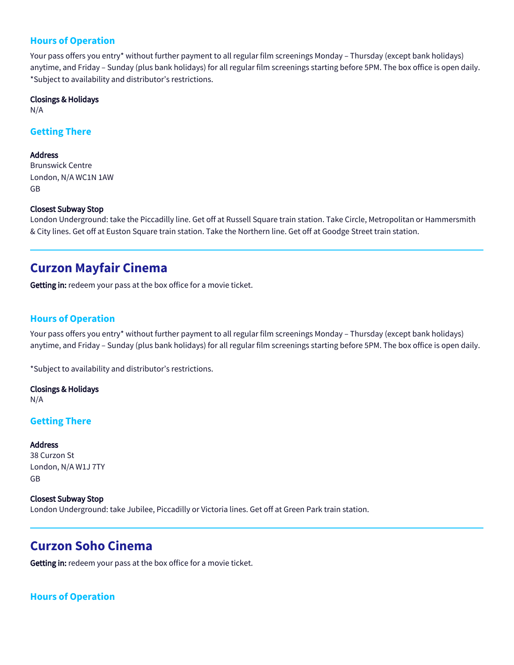## **Hours of Operation**

Your pass offers you entry\* without further payment to all regular film screenings Monday – Thursday (except bank holidays) anytime, and Friday – Sunday (plus bank holidays) for all regular film screenings starting before 5PM. The box office is open daily. \*Subject to availability and distributor's restrictions.

### Closings & Holidays

N/A

## **Getting There**

### Address

Brunswick Centre London, N/A WC1N 1AW GB

### Closest Subway Stop

London Underground: take the Piccadilly line. Get off at Russell Square train station. Take Circle, Metropolitan or Hammersmith & City lines. Get off at Euston Square train station. Take the Northern line. Get off at Goodge Street train station.

# **Curzon Mayfair Cinema**

Getting in: redeem your pass at the box office for a movie ticket.

## **Hours of Operation**

Your pass offers you entry\* without further payment to all regular film screenings Monday – Thursday (except bank holidays) anytime, and Friday – Sunday (plus bank holidays) for all regular film screenings starting before 5PM. The box office is open daily.

\*Subject to availability and distributor's restrictions.

# Closings & Holidays

N/A

# **Getting There**

### Address

38 Curzon St London, N/A W1J 7TY GB

### Closest Subway Stop

London Underground: take Jubilee, Piccadilly or Victoria lines. Get off at Green Park train station.

# **Curzon Soho Cinema**

Getting in: redeem your pass at the box office for a movie ticket.

# **Hours of Operation**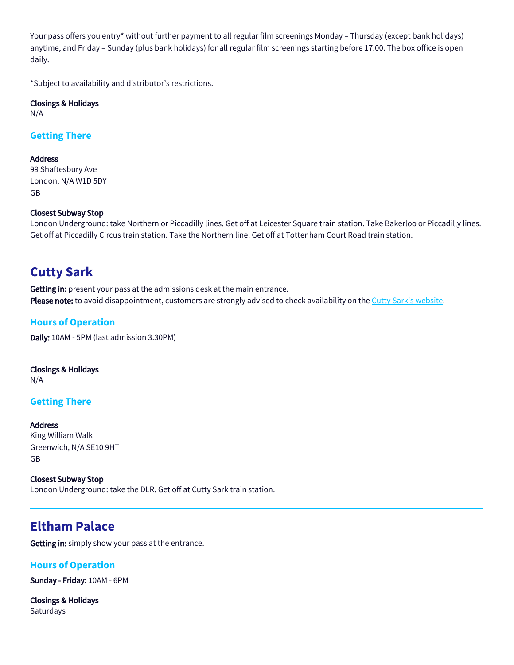Your pass offers you entry\* without further payment to all regular film screenings Monday – Thursday (except bank holidays) anytime, and Friday – Sunday (plus bank holidays) for all regular film screenings starting before 17.00. The box office is open daily.

\*Subject to availability and distributor's restrictions.

## Closings & Holidays

N/A

### **Getting There**

#### **Address**

99 Shaftesbury Ave London, N/A W1D 5DY GB

### Closest Subway Stop

London Underground: take Northern or Piccadilly lines. Get off at Leicester Square train station. Take Bakerloo or Piccadilly lines. Get off at Piccadilly Circus train station. Take the Northern line. Get off at Tottenham Court Road train station.

# **Cutty Sark**

Getting in: present your pass at the admissions desk at the main entrance. Please note: to avoid disappointment, customers are strongly advised to check availability on the [Cutty Sark's website.](https://tickets.rmg.co.uk/webstore/shop/viewItems.aspx?cg=RMG&c=CST&_ga=2.101074113.194024544.1622537812-1264773050.1622537812)

## **Hours of Operation**

Daily: 10AM - 5PM (last admission 3.30PM)

Closings & Holidays N/A

## **Getting There**

Address King William Walk Greenwich, N/A SE10 9HT GB

Closest Subway Stop London Underground: take the DLR. Get off at Cutty Sark train station.

# **Eltham Palace**

Getting in: simply show your pass at the entrance.

## **Hours of Operation**

Sunday - Friday: 10AM - 6PM

Closings & Holidays **Saturdays**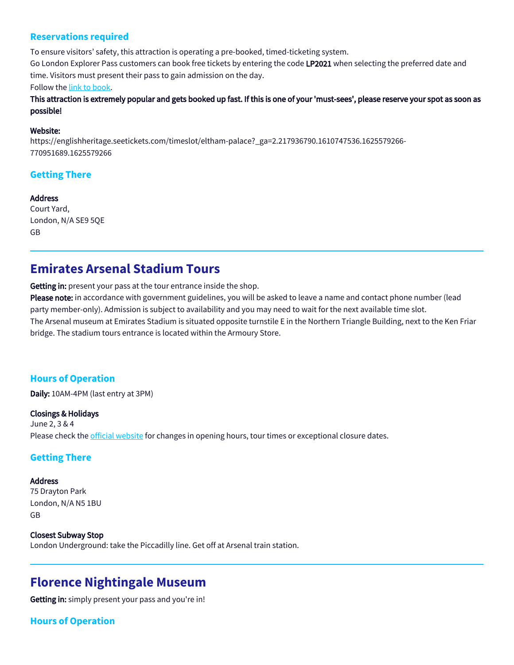## **Reservations required**

To ensure visitors' safety, this attraction is operating a pre-booked, timed-ticketing system. Go London Explorer Pass customers can book free tickets by entering the code LP2021 when selecting the preferred date and time. Visitors must present their pass to gain admission on the day.

Follow the [link to book.](https://englishheritage.seetickets.com/timeslot/eltham-palace?_ga=2.217936790.1610747536.1625579266-770951689.1625579266)

This attraction is extremely popular and gets booked up fast. If this is one of your 'must-sees', please reserve your spot as soon as possible!

#### Website:

https://englishheritage.seetickets.com/timeslot/eltham-palace?\_ga=2.217936790.1610747536.1625579266- 770951689.1625579266

## **Getting There**

## Address

Court Yard, London, N/A SE9 5QE GB

# **Emirates Arsenal Stadium Tours**

Getting in: present your pass at the tour entrance inside the shop.

Please note: in accordance with government guidelines, you will be asked to leave a name and contact phone number (lead party member-only). Admission is subject to availability and you may need to wait for the next available time slot. The Arsenal museum at Emirates Stadium is situated opposite turnstile E in the Northern Triangle Building, next to the Ken Friar bridge. The stadium tours entrance is located within the Armoury Store.

## **Hours of Operation**

Daily: 10AM-4PM (last entry at 3PM)

### Closings & Holidays June 2, 3 & 4

Please check the *official website* for changes in opening hours, tour times or exceptional closure dates.

# **Getting There**

### **Address** 75 Drayton Park London, N/A N5 1BU GB

Closest Subway Stop London Underground: take the Piccadilly line. Get off at Arsenal train station.

# **Florence Nightingale Museum**

Getting in: simply present your pass and you're in!

**Hours of Operation**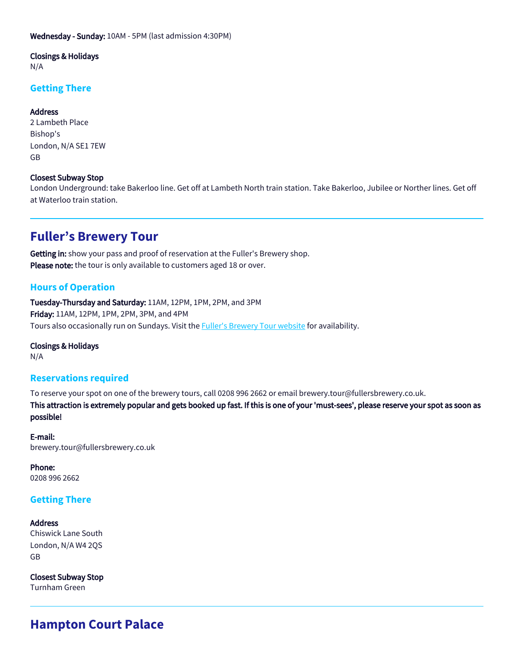#### Wednesday - Sunday: 10AM - 5PM (last admission 4:30PM)

### Closings & Holidays

N/A

# **Getting There**

#### Address

2 Lambeth Place Bishop's London, N/A SE1 7EW GB

### Closest Subway Stop

London Underground: take Bakerloo line. Get off at Lambeth North train station. Take Bakerloo, Jubilee or Norther lines. Get off at Waterloo train station.

# **Fuller's Brewery Tour**

Getting in: show your pass and proof of reservation at the Fuller's Brewery shop. Please note: the tour is only available to customers aged 18 or over.

## **Hours of Operation**

Tuesday-Thursday and Saturday: 11AM, 12PM, 1PM, 2PM, and 3PM Friday: 11AM, 12PM, 1PM, 2PM, 3PM, and 4PM Tours also occasionally run on Sundays. Visit the [Fuller's Brewery Tour website](https://www.fullersbrewery.co.uk/brewery-tours/) for availability.

Closings & Holidays N/A

### **Reservations required**

To reserve your spot on one of the brewery tours, call 0208 996 2662 or email brewery.tour@fullersbrewery.co.uk.

This attraction is extremely popular and gets booked up fast. If this is one of your 'must-sees', please reserve your spot as soon as possible!

### E-mail: brewery.tour@fullersbrewery.co.uk

Phone: 0208 996 2662

## **Getting There**

### **Address** Chiswick Lane South London, N/A W4 2QS GB

Closest Subway Stop Turnham Green

# **Hampton Court Palace**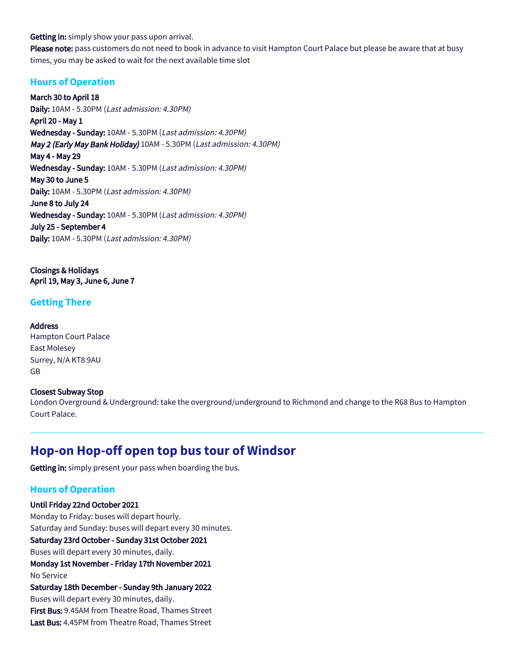Getting in: simply show your pass upon arrival.

Please note: pass customers do not need to book in advance to visit Hampton Court Palace but please be aware that at busy times, you may be asked to wait for the next available time slot

### **Hours of Operation**

March 30 to April 18 Daily: 10AM - 5.30PM (Last admission: 4.30PM) April 20 - May 1 Wednesday - Sunday: 10AM - 5.30PM (Last admission: 4.30PM) May 2 (Early May Bank Holiday) 10AM - 5.30PM (Last admission: 4.30PM) May 4 - May 29 Wednesday - Sunday: 10AM - 5.30PM (Last admission: 4.30PM) May 30 to June 5 Daily: 10AM - 5.30PM (Last admission: 4.30PM) June 8 to July 24 Wednesday - Sunday: 10AM - 5.30PM (Last admission: 4.30PM) July 25 - September 4 Daily: 10AM - 5.30PM (Last admission: 4.30PM)

Closings & Holidays April 19, May 3, June 6, June 7

## **Getting There**

#### Address

Hampton Court Palace East Molesey Surrey, N/A KT8 9AU GB

#### Closest Subway Stop

London Overground & Underground: take the overground/underground to Richmond and change to the R68 Bus to Hampton Court Palace.

# **Hop-on Hop-off open top bus tour of Windsor**

Getting in: simply present your pass when boarding the bus.

## **Hours of Operation**

Until Friday 22nd October 2021 Monday to Friday: buses will depart hourly. Saturday and Sunday: buses will depart every 30 minutes. Saturday 23rd October - Sunday 31st October 2021 Buses will depart every 30 minutes, daily. Monday 1st November - Friday 17th November 2021 No Service Saturday 18th December - Sunday 9th January 2022 Buses will depart every 30 minutes, daily. First Bus: 9.45AM from Theatre Road, Thames Street Last Bus: 4.45PM from Theatre Road, Thames Street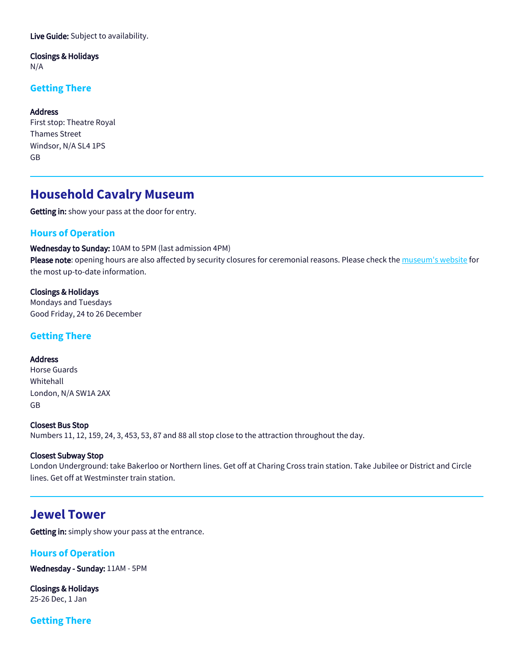Live Guide: Subject to availability.

Closings & Holidays

N/A

# **Getting There**

Address First stop: Theatre Royal Thames Street Windsor, N/A SL4 1PS GB

# **Household Cavalry Museum**

Getting in: show your pass at the door for entry.

## **Hours of Operation**

Wednesday to Sunday: 10AM to 5PM (last admission 4PM) Please note: opening hours are also affected by security closures for ceremonial reasons. Please check the [museum's website](https://householdcavalry.co.uk/museum/visitor-information-bookings/) for the most up-to-date information.

Closings & Holidays Mondays and Tuesdays Good Friday, 24 to 26 December

## **Getting There**

### Address

Horse Guards Whitehall London, N/A SW1A 2AX GB

#### Closest Bus Stop

Numbers 11, 12, 159, 24, 3, 453, 53, 87 and 88 all stop close to the attraction throughout the day.

### Closest Subway Stop

London Underground: take Bakerloo or Northern lines. Get off at Charing Cross train station. Take Jubilee or District and Circle lines. Get off at Westminster train station.

# **Jewel Tower**

Getting in: simply show your pass at the entrance.

## **Hours of Operation**

Wednesday - Sunday: 11AM - 5PM

Closings & Holidays 25-26 Dec, 1 Jan

**Getting There**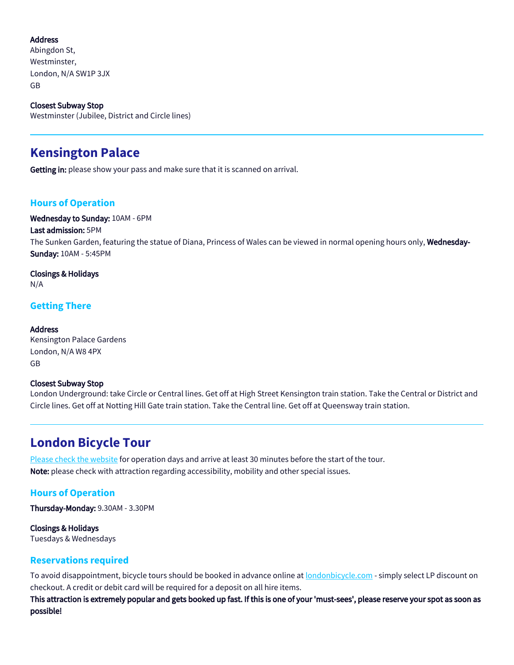## Address

Abingdon St, Westminster, London, N/A SW1P 3JX GB

Closest Subway Stop Westminster (Jubilee, District and Circle lines)

# **Kensington Palace**

Getting in: please show your pass and make sure that it is scanned on arrival.

# **Hours of Operation**

Wednesday to Sunday: 10AM - 6PM

### Last admission: 5PM

The Sunken Garden, featuring the statue of Diana, Princess of Wales can be viewed in normal opening hours only, Wednesday-Sunday: 10AM - 5:45PM

Closings & Holidays N/A

## **Getting There**

### Address

Kensington Palace Gardens London, N/A W8 4PX GB

### Closest Subway Stop

London Underground: take Circle or Central lines. Get off at High Street Kensington train station. Take the Central or District and Circle lines. Get off at Notting Hill Gate train station. Take the Central line. Get off at Queensway train station.

# **London Bicycle Tour**

[Please check the website](http://londonbicycle.com/tours/half-day/lovelondon) for operation days and arrive at least 30 minutes before the start of the tour. Note: please check with attraction regarding accessibility, mobility and other special issues.

# **Hours of Operation**

Thursday-Monday: 9.30AM - 3.30PM

Closings & Holidays Tuesdays & Wednesdays

## **Reservations required**

To avoid disappointment, bicycle tours should be booked in advance online at [londonbicycle.com](http://www.londonbicycle.com/) - simply select LP discount on checkout. A credit or debit card will be required for a deposit on all hire items.

This attraction is extremely popular and gets booked up fast. If this is one of your 'must-sees', please reserve your spot as soon as possible!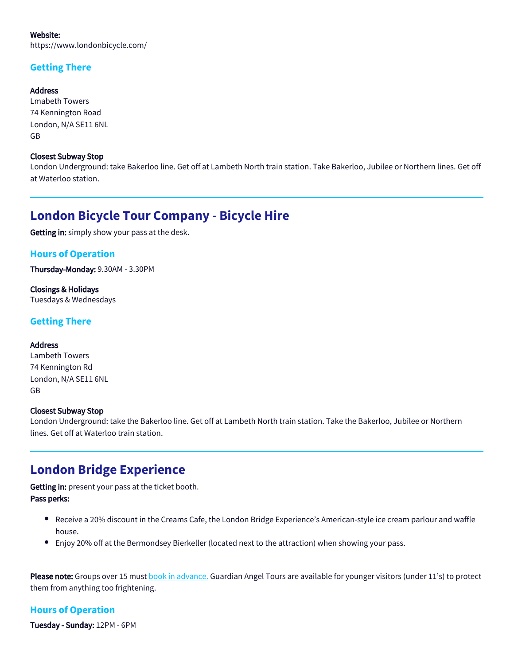#### Website: https://www.londonbicycle.com/

# **Getting There**

**Address** Lmabeth Towers 74 Kennington Road London, N/A SE11 6NL GB

#### Closest Subway Stop

London Underground: take Bakerloo line. Get off at Lambeth North train station. Take Bakerloo, Jubilee or Northern lines. Get off at Waterloo station.

# **London Bicycle Tour Company - Bicycle Hire**

Getting in: simply show your pass at the desk.

# **Hours of Operation**

Thursday-Monday: 9.30AM - 3.30PM

Closings & Holidays Tuesdays & Wednesdays

## **Getting There**

#### Address

Lambeth Towers 74 Kennington Rd London, N/A SE11 6NL GB

#### Closest Subway Stop

London Underground: take the Bakerloo line. Get off at Lambeth North train station. Take the Bakerloo, Jubilee or Northern lines. Get off at Waterloo train station.

# **London Bridge Experience**

Getting in: present your pass at the ticket booth. Pass perks:

- ٠ Receive a 20% discount in the Creams Cafe, the London Bridge Experience's American-style ice cream parlour and waffle house.
- Enjoy 20% off at the Bermondsey Bierkeller (located next to the attraction) when showing your pass.

Please note: Groups over 15 must [book in advance.](https://www.thelondonbridgeexperience.com/groups/) Guardian Angel Tours are available for younger visitors (under 11's) to protect them from anything too frightening.

# **Hours of Operation**

Tuesday - Sunday: 12PM - 6PM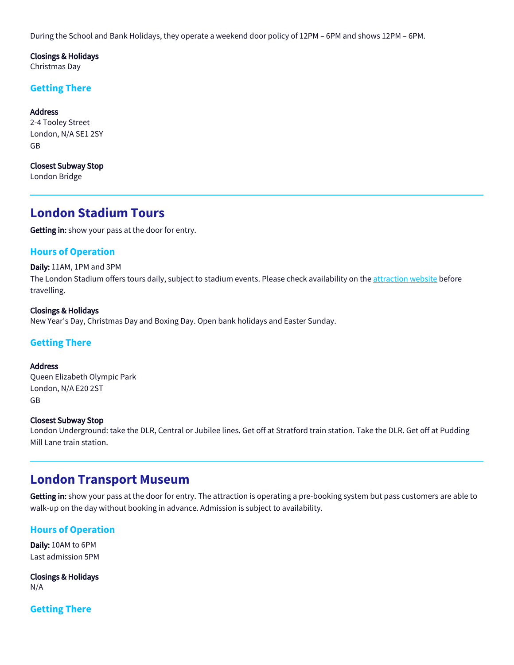During the School and Bank Holidays, they operate a weekend door policy of 12PM – 6PM and shows 12PM – 6PM.

## Closings & Holidays

Christmas Day

## **Getting There**

#### Address

2-4 Tooley Street London, N/A SE1 2SY GB

Closest Subway Stop

London Bridge

# **London Stadium Tours**

Getting in: show your pass at the door for entry.

## **Hours of Operation**

#### Daily: 11AM, 1PM and 3PM

The London Stadium offers tours daily, subject to stadium events. Please check availability on the [attraction website](https://stadiumtourbookings.london-stadium.com/booking/closures.htm) before travelling.

#### Closings & Holidays New Year's Day, Christmas Day and Boxing Day. Open bank holidays and Easter Sunday.

## **Getting There**

#### Address

Queen Elizabeth Olympic Park London, N/A E20 2ST GB

#### Closest Subway Stop

London Underground: take the DLR, Central or Jubilee lines. Get off at Stratford train station. Take the DLR. Get off at Pudding Mill Lane train station.

# **London Transport Museum**

Getting in: show your pass at the door for entry. The attraction is operating a pre-booking system but pass customers are able to walk-up on the day without booking in advance. Admission is subject to availability.

### **Hours of Operation**

Daily: 10AM to 6PM Last admission 5PM

Closings & Holidays N/A

**Getting There**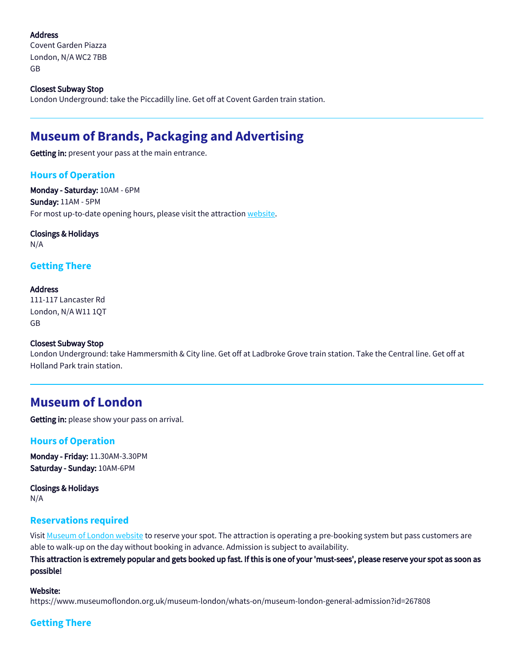### Address

Covent Garden Piazza London, N/A WC2 7BB GB

### Closest Subway Stop

London Underground: take the Piccadilly line. Get off at Covent Garden train station.

# **Museum of Brands, Packaging and Advertising**

Getting in: present your pass at the main entrance.

## **Hours of Operation**

Monday - Saturday: 10AM - 6PM Sunday: 11AM - 5PM For most up-to-date opening hours, please visit the attraction [website.](https://www.museumofbrands.com/)

Closings & Holidays N/A

## **Getting There**

### Address

111-117 Lancaster Rd London, N/A W11 1QT GB

#### Closest Subway Stop

London Underground: take Hammersmith & City line. Get off at Ladbroke Grove train station. Take the Central line. Get off at Holland Park train station.

# **Museum of London**

Getting in: please show your pass on arrival.

## **Hours of Operation**

Monday - Friday: 11.30AM-3.30PM Saturday - Sunday: 10AM-6PM

Closings & Holidays N/A

### **Reservations required**

Visit [Museum of London website](https://www.museumoflondon.org.uk/museum-london/whats-on/museum-london-general-admission?id=267808) to reserve your spot. The attraction is operating a pre-booking system but pass customers are able to walk-up on the day without booking in advance. Admission is subject to availability.

This attraction is extremely popular and gets booked up fast. If this is one of your 'must-sees', please reserve your spot as soon as possible!

### Website:

https://www.museumoflondon.org.uk/museum-london/whats-on/museum-london-general-admission?id=267808

## **Getting There**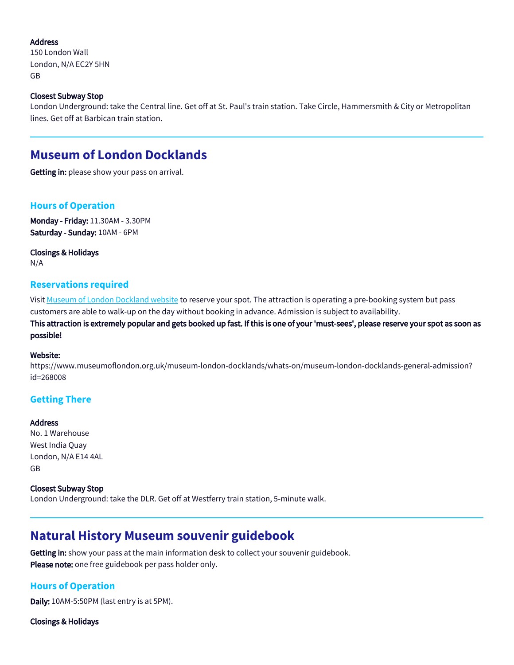### Address

150 London Wall London, N/A EC2Y 5HN GB

### Closest Subway Stop

London Underground: take the Central line. Get off at St. Paul's train station. Take Circle, Hammersmith & City or Metropolitan lines. Get off at Barbican train station.

# **Museum of London Docklands**

Getting in: please show your pass on arrival.

## **Hours of Operation**

Monday - Friday: 11.30AM - 3.30PM Saturday - Sunday: 10AM - 6PM

Closings & Holidays N/A

### **Reservations required**

Visit [Museum of London Dockland website](https://www.museumoflondon.org.uk/museum-london-docklands/whats-on/museum-london-docklands-general-admission?id=268008) to reserve your spot. The attraction is operating a pre-booking system but pass customers are able to walk-up on the day without booking in advance. Admission is subject to availability.

This attraction is extremely popular and gets booked up fast. If this is one of your 'must-sees', please reserve your spot as soon as possible!

#### Website:

https://www.museumoflondon.org.uk/museum-london-docklands/whats-on/museum-london-docklands-general-admission? id=268008

### **Getting There**

#### **Address**

No. 1 Warehouse West India Quay London, N/A E14 4AL GB

#### Closest Subway Stop

London Underground: take the DLR. Get off at Westferry train station, 5-minute walk.

# **Natural History Museum souvenir guidebook**

Getting in: show your pass at the main information desk to collect your souvenir guidebook. Please note: one free guidebook per pass holder only.

## **Hours of Operation**

Daily: 10AM-5:50PM (last entry is at 5PM).

Closings & Holidays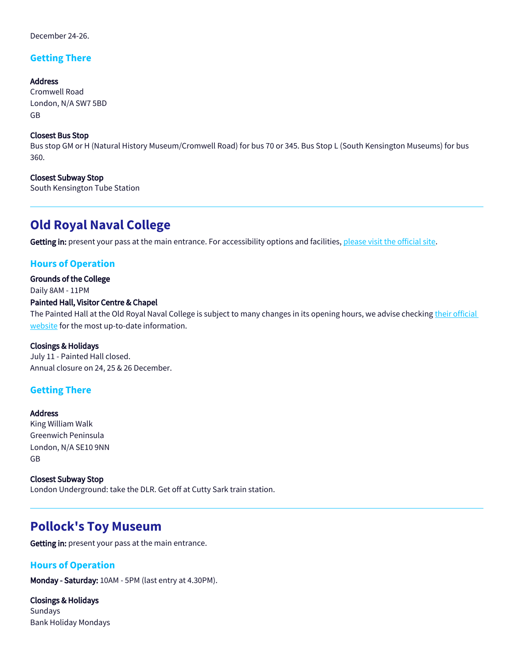December 24-26.

# **Getting There**

Address Cromwell Road London, N/A SW7 5BD GB

### Closest Bus Stop

Bus stop GM or H (Natural History Museum/Cromwell Road) for bus 70 or 345. Bus Stop L (South Kensington Museums) for bus 360.

Closest Subway Stop South Kensington Tube Station

# **Old Royal Naval College**

Getting in: present your pass at the main entrance. For accessibility options and facilities, [please visit the official site.](https://www.ornc.org/Pages/FAQs/Category/accessibility)

## **Hours of Operation**

### Grounds of the College

Daily 8AM - 11PM

#### Painted Hall, Visitor Centre & Chapel

The Painted Hall at the Old Royal Naval College is subject to many changes in its opening hours, we advise checking their official [website](https://ornc.org/plan-a-visit/) for the most up-to-date information.

#### Closings & Holidays

July 11 - Painted Hall closed. Annual closure on 24, 25 & 26 December.

## **Getting There**

Address King William Walk Greenwich Peninsula London, N/A SE10 9NN GB

Closest Subway Stop London Underground: take the DLR. Get off at Cutty Sark train station.

# **Pollock's Toy Museum**

Getting in: present your pass at the main entrance.

## **Hours of Operation**

Monday - Saturday: 10AM - 5PM (last entry at 4.30PM).

Closings & Holidays Sundays Bank Holiday Mondays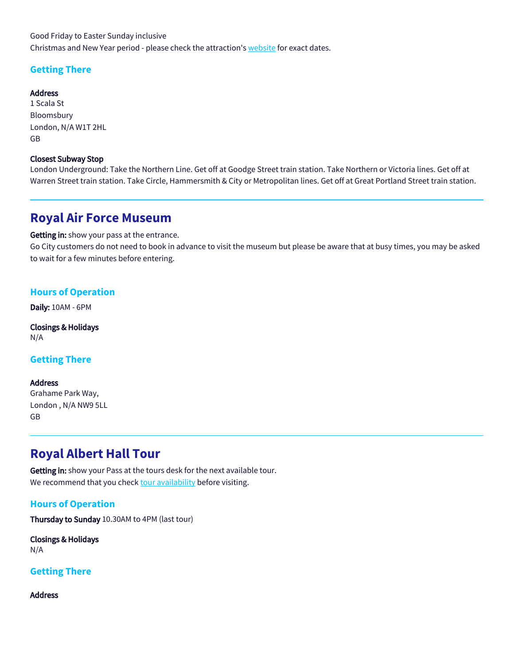Good Friday to Easter Sunday inclusive Christmas and New Year period - please check the attraction's [website](https://www.pollockstoymuseum.co.uk/) for exact dates.

## **Getting There**

#### Address

1 Scala St Bloomsbury London, N/A W1T 2HL GB

#### Closest Subway Stop

London Underground: Take the Northern Line. Get off at Goodge Street train station. Take Northern or Victoria lines. Get off at Warren Street train station. Take Circle, Hammersmith & City or Metropolitan lines. Get off at Great Portland Street train station.

# **Royal Air Force Museum**

Getting in: show your pass at the entrance.

Go City customers do not need to book in advance to visit the museum but please be aware that at busy times, you may be asked to wait for a few minutes before entering.

## **Hours of Operation**

Daily: 10AM - 6PM

Closings & Holidays N/A

## **Getting There**

Address Grahame Park Way, London , N/A NW9 5LL GB

# **Royal Albert Hall Tour**

Getting in: show your Pass at the tours desk for the next available tour. We recommend that you check [tour availability](https://www.royalalberthall.com/tickets/tours-and-exhibitions/royal-albert-hall-tour/) before visiting.

# **Hours of Operation**

Thursday to Sunday 10.30AM to 4PM (last tour)

Closings & Holidays N/A

## **Getting There**

Address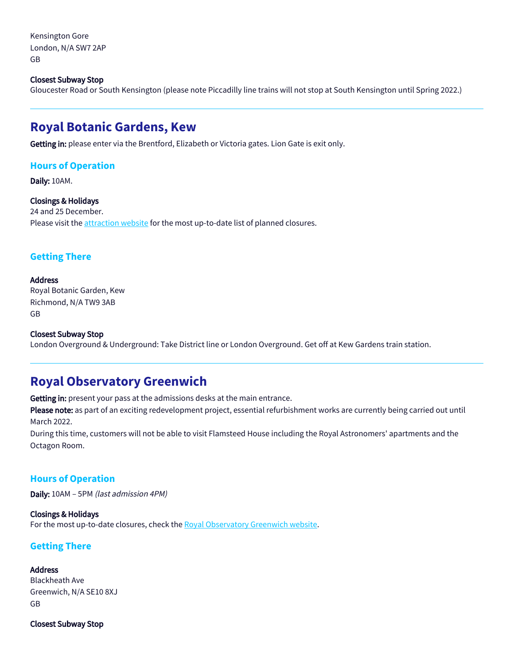Kensington Gore London, N/A SW7 2AP GB

#### Closest Subway Stop

Gloucester Road or South Kensington (please note Piccadilly line trains will not stop at South Kensington until Spring 2022.)

# **Royal Botanic Gardens, Kew**

Getting in: please enter via the Brentford, Elizabeth or Victoria gates. Lion Gate is exit only.

### **Hours of Operation**

Daily: 10AM.

#### Closings & Holidays

24 and 25 December. Please visit the [attraction website](https://www.kew.org/kew-gardens/visit-kew-gardens/planned-closures) for the most up-to-date list of planned closures.

### **Getting There**

#### Address

Royal Botanic Garden, Kew Richmond, N/A TW9 3AB GB

#### Closest Subway Stop

London Overground & Underground: Take District line or London Overground. Get off at Kew Gardens train station.

# **Royal Observatory Greenwich**

Getting in: present your pass at the admissions desks at the main entrance.

Please note: as part of an exciting redevelopment project, essential refurbishment works are currently being carried out until March 2022.

During this time, customers will not be able to visit Flamsteed House including the Royal Astronomers' apartments and the Octagon Room.

### **Hours of Operation**

Daily: 10AM – 5PM (last admission 4PM)

#### Closings & Holidays For the most up-to-date closures, check the [Royal Observatory Greenwich website.](https://www.rmg.co.uk/)

### **Getting There**

Address Blackheath Ave Greenwich, N/A SE10 8XJ GB

Closest Subway Stop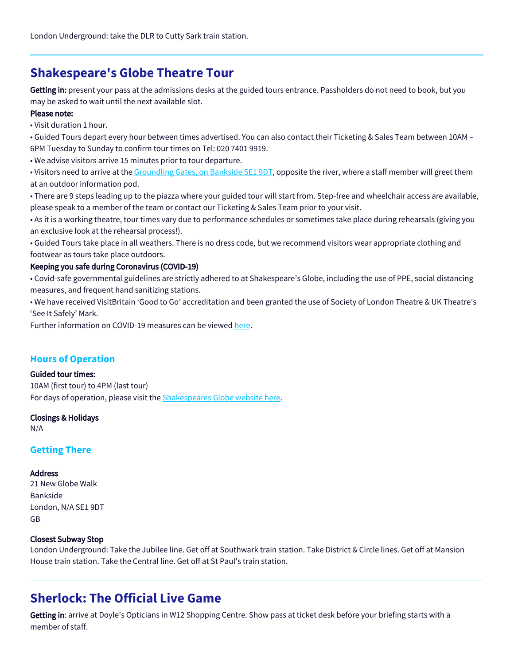# **Shakespeare's Globe Theatre Tour**

Getting in: present your pass at the admissions desks at the guided tours entrance. Passholders do not need to book, but you may be asked to wait until the next available slot.

### Please note:

• Visit duration 1 hour.

• Guided Tours depart every hour between times advertised. You can also contact their Ticketing & Sales Team between 10AM – 6PM Tuesday to Sunday to confirm tour times on Tel: 020 7401 9919.

• We advise visitors arrive 15 minutes prior to tour departure.

• Visitors need to arrive at the [Groundling Gates, on Bankside SE1 9DT,](https://www.google.com/maps/place/51%C2%B030) opposite the river, where a staff member will greet them at an outdoor information pod.

• There are 9 steps leading up to the piazza where your guided tour will start from. Step-free and wheelchair access are available, please speak to a member of the team or contact our Ticketing & Sales Team prior to your visit.

• As it is a working theatre, tour times vary due to performance schedules or sometimes take place during rehearsals (giving you an exclusive look at the rehearsal process!).

• Guided Tours take place in all weathers. There is no dress code, but we recommend visitors wear appropriate clothing and footwear as tours take place outdoors.

### Keeping you safe during Coronavirus (COVID-19)

• Covid-safe governmental guidelines are strictly adhered to at Shakespeare's Globe, including the use of PPE, social distancing measures, and frequent hand sanitizing stations.

• We have received VisitBritain 'Good to Go' accreditation and been granted the use of Society of London Theatre & UK Theatre's 'See It Safely' Mark.

Further information on COVID-19 measures can be viewed [here](https://www.shakespearesglobe.com/visit/coronavirus-covid-19-safety-measures/).

## **Hours of Operation**

#### Guided tour times:

10AM (first tour) to 4PM (last tour) For days of operation, please visit the **[Shakespeares Globe website here](https://www.shakespearesglobe.com/whats-on/globe-theatre-guided-tour/#book)**.

#### Closings & Holidays

N/A

## **Getting There**

#### **Address**

21 New Globe Walk Bankside London, N/A SE1 9DT GB

#### Closest Subway Stop

London Underground: Take the Jubilee line. Get off at Southwark train station. Take District & Circle lines. Get off at Mansion House train station. Take the Central line. Get off at St Paul's train station.

# **Sherlock: The Official Live Game**

Getting in: arrive at Doyle's Opticians in W12 Shopping Centre. Show pass at ticket desk before your briefing starts with a member of staff.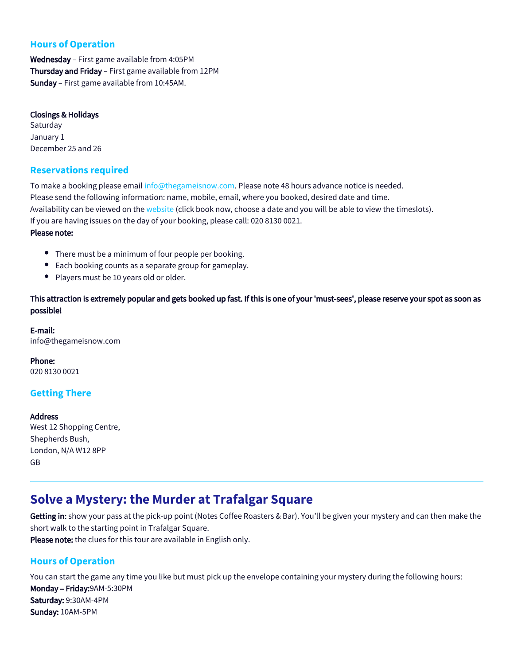# **Hours of Operation**

Wednesday – First game available from 4:05PM Thursday and Friday – First game available from 12PM Sunday – First game available from 10:45AM.

### Closings & Holidays

Saturday January 1 December 25 and 26

## **Reservations required**

To make a booking please email [info@thegameisnow.com.](mailto:info@thegameisnow.com) Please note 48 hours advance notice is needed. Please send the following information: name, mobile, email, where you booked, desired date and time. Availability can be viewed on the [website](https://www.thegameisnow.com/) (click book now, choose a date and you will be able to view the timeslots). If you are having issues on the day of your booking, please call: 020 8130 0021.

### Please note:

- There must be a minimum of four people per booking.
- Each booking counts as a separate group for gameplay.
- Players must be 10 years old or older.

This attraction is extremely popular and gets booked up fast. If this is one of your 'must-sees', please reserve your spot as soon as possible!

E-mail: info@thegameisnow.com

Phone: 020 8130 0021

# **Getting There**

Address West 12 Shopping Centre, Shepherds Bush, London, N/A W12 8PP GB

# **Solve a Mystery: the Murder at Trafalgar Square**

Getting in: show your pass at the pick-up point (Notes Coffee Roasters & Bar). You'll be given your mystery and can then make the short walk to the starting point in Trafalgar Square. Please note: the clues for this tour are available in English only.

# **Hours of Operation**

You can start the game any time you like but must pick up the envelope containing your mystery during the following hours: Monday – Friday:9AM-5:30PM Saturday: 9:30AM-4PM Sunday: 10AM-5PM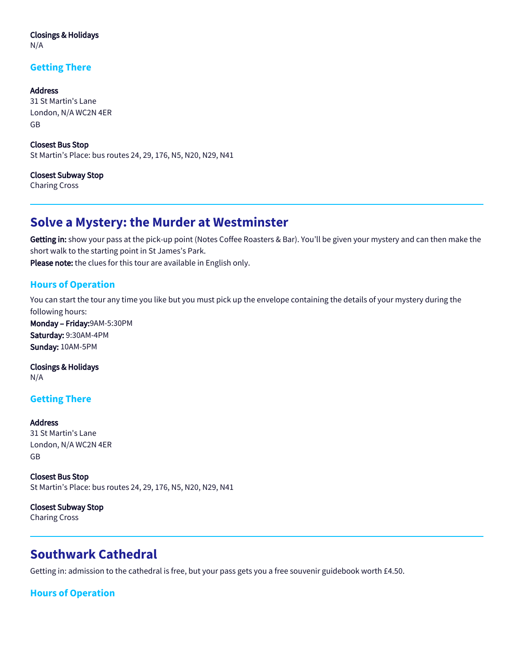### Closings & Holidays

N/A

# **Getting There**

### **Address**

31 St Martin's Lane London, N/A WC2N 4ER GB

Closest Bus Stop St Martin's Place: bus routes 24, 29, 176, N5, N20, N29, N41

Closest Subway Stop Charing Cross

# **Solve a Mystery: the Murder at Westminster**

Getting in: show your pass at the pick-up point (Notes Coffee Roasters & Bar). You'll be given your mystery and can then make the short walk to the starting point in St James's Park.

Please note: the clues for this tour are available in English only.

# **Hours of Operation**

You can start the tour any time you like but you must pick up the envelope containing the details of your mystery during the following hours:

Monday – Friday:9AM-5:30PM Saturday: 9:30AM-4PM Sunday: 10AM-5PM

Closings & Holidays N/A

## **Getting There**

**Address** 31 St Martin's Lane London, N/A WC2N 4ER GB

Closest Bus Stop St Martin's Place: bus routes 24, 29, 176, N5, N20, N29, N41

Closest Subway Stop Charing Cross

# **Southwark Cathedral**

Getting in: admission to the cathedral is free, but your pass gets you a free souvenir guidebook worth £4.50.

**Hours of Operation**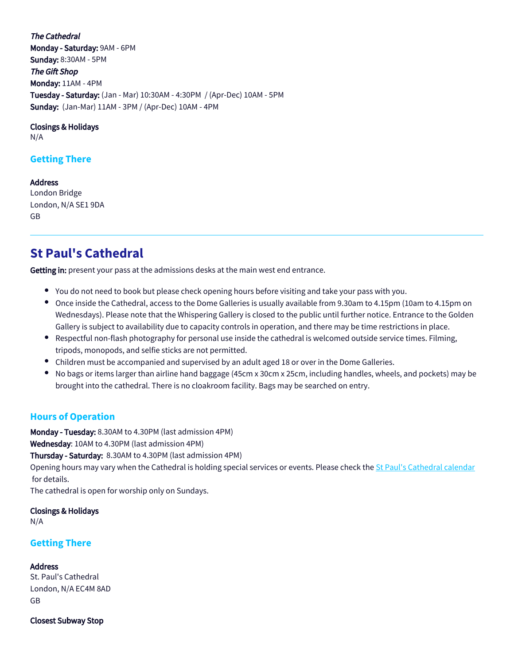The Cathedral Monday - Saturday: 9AM - 6PM Sunday: 8:30AM - 5PM The Gift Shop Monday: 11AM - 4PM Tuesday - Saturday: (Jan - Mar) 10:30AM - 4:30PM / (Apr-Dec) 10AM - 5PM Sunday: (Jan-Mar) 11AM - 3PM / (Apr-Dec) 10AM - 4PM

Closings & Holidays

N/A

## **Getting There**

Address London Bridge London, N/A SE1 9DA GB

# **St Paul's Cathedral**

Getting in: present your pass at the admissions desks at the main west end entrance.

- You do not need to book but please check opening hours before visiting and take your pass with you.
- Once inside the Cathedral, access to the Dome Galleries is usually available from 9.30am to 4.15pm (10am to 4.15pm on Wednesdays). Please note that the Whispering Gallery is closed to the public until further notice. Entrance to the Golden Gallery is subject to availability due to capacity controls in operation, and there may be time restrictions in place.
- Respectful non-flash photography for personal use inside the cathedral is welcomed outside service times. Filming, tripods, monopods, and selfie sticks are not permitted.
- Children must be accompanied and supervised by an adult aged 18 or over in the Dome Galleries.
- $\bullet$ No bags or items larger than airline hand baggage (45cm x 30cm x 25cm, including handles, wheels, and pockets) may be brought into the cathedral. There is no cloakroom facility. Bags may be searched on entry.

## **Hours of Operation**

Monday - Tuesday: 8.30AM to 4.30PM (last admission 4PM) Wednesday: 10AM to 4.30PM (last admission 4PM)

Thursday - Saturday: 8.30AM to 4.30PM (last admission 4PM)

Opening hours may vary when the Cathedral is holding special services or events. Please check the [St Paul's Cathedral calendar](https://www.stpauls.co.uk/calendar/month) for details.

The cathedral is open for worship only on Sundays.

Closings & Holidays N/A

## **Getting There**

Address St. Paul's Cathedral London, N/A EC4M 8AD GB

Closest Subway Stop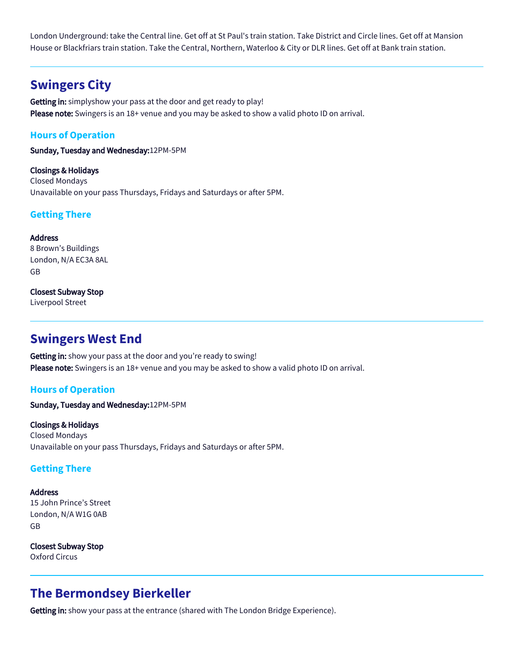London Underground: take the Central line. Get off at St Paul's train station. Take District and Circle lines. Get off at Mansion House or Blackfriars train station. Take the Central, Northern, Waterloo & City or DLR lines. Get off at Bank train station.

# **Swingers City**

Getting in: simplyshow your pass at the door and get ready to play! Please note: Swingers is an 18+ venue and you may be asked to show a valid photo ID on arrival.

## **Hours of Operation**

Sunday, Tuesday and Wednesday:12PM-5PM

Closings & Holidays Closed Mondays Unavailable on your pass Thursdays, Fridays and Saturdays or after 5PM.

## **Getting There**

**Address** 8 Brown's Buildings London, N/A EC3A 8AL GB

### Closest Subway Stop

Liverpool Street

# **Swingers West End**

Getting in: show your pass at the door and you're ready to swing! Please note: Swingers is an 18+ venue and you may be asked to show a valid photo ID on arrival.

# **Hours of Operation**

Sunday, Tuesday and Wednesday:12PM-5PM

Closings & Holidays Closed Mondays Unavailable on your pass Thursdays, Fridays and Saturdays or after 5PM.

# **Getting There**

Address 15 John Prince's Street London, N/A W1G 0AB GB

Closest Subway Stop Oxford Circus

# **The Bermondsey Bierkeller**

Getting in: show your pass at the entrance (shared with The London Bridge Experience).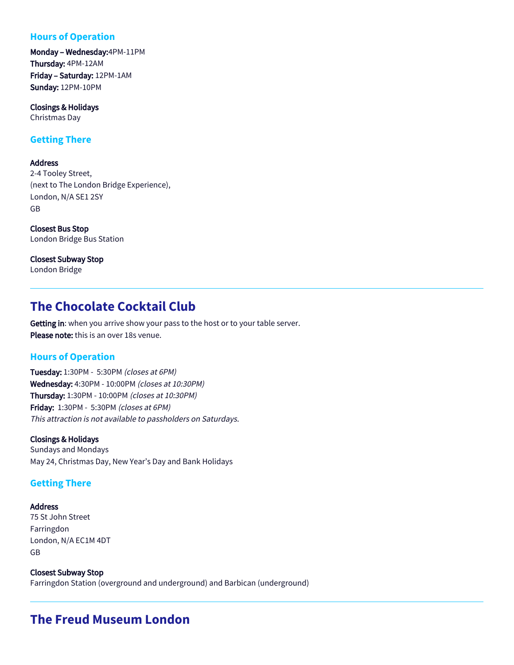## **Hours of Operation**

Monday – Wednesday:4PM-11PM Thursday: 4PM-12AM Friday – Saturday: 12PM-1AM Sunday: 12PM-10PM

Closings & Holidays Christmas Day

### **Getting There**

Address

2-4 Tooley Street, (next to The London Bridge Experience), London, N/A SE1 2SY GB

Closest Bus Stop London Bridge Bus Station

Closest Subway Stop London Bridge

# **The Chocolate Cocktail Club**

Getting in: when you arrive show your pass to the host or to your table server. Please note: this is an over 18s venue.

## **Hours of Operation**

Tuesday: 1:30PM - 5:30PM (closes at 6PM) Wednesday: 4:30PM - 10:00PM (closes at 10:30PM) Thursday: 1:30PM - 10:00PM (closes at 10:30PM) Friday: 1:30PM - 5:30PM (closes at 6PM) This attraction is not available to passholders on Saturdays.

#### Closings & Holidays

Sundays and Mondays May 24, Christmas Day, New Year's Day and Bank Holidays

## **Getting There**

#### Address

75 St John Street Farringdon London, N/A EC1M 4DT GB

Closest Subway Stop Farringdon Station (overground and underground) and Barbican (underground)

# **The Freud Museum London**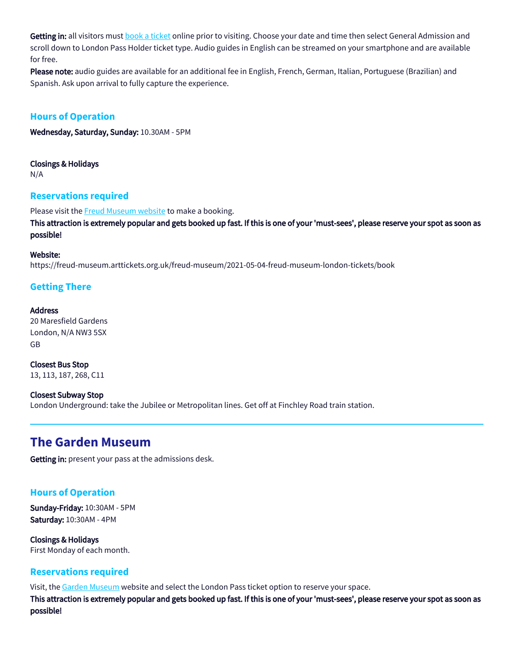Getting in: all visitors must **book a ticket online prior to visiting**. Choose your date and time then select General Admission and scroll down to London Pass Holder ticket type. Audio guides in English can be streamed on your smartphone and are available for free.

Please note: audio guides are available for an additional fee in English, French, German, Italian, Portuguese (Brazilian) and Spanish. Ask upon arrival to fully capture the experience.

## **Hours of Operation**

Wednesday, Saturday, Sunday: 10.30AM - 5PM

#### Closings & Holidays

N/A

### **Reservations required**

Please visit the **Freud Museum website** to make a booking.

This attraction is extremely popular and gets booked up fast. If this is one of your 'must-sees', please reserve your spot as soon as possible!

#### Website:

https://freud-museum.arttickets.org.uk/freud-museum/2021-05-04-freud-museum-london-tickets/book

### **Getting There**

Address 20 Maresfield Gardens London, N/A NW3 5SX GB

Closest Bus Stop 13, 113, 187, 268, C11

### Closest Subway Stop London Underground: take the Jubilee or Metropolitan lines. Get off at Finchley Road train station.

# **The Garden Museum**

Getting in: present your pass at the admissions desk.

### **Hours of Operation**

Sunday-Friday: 10:30AM - 5PM Saturday: 10:30AM - 4PM

Closings & Holidays First Monday of each month.

### **Reservations required**

Visit, the [Garden Museum](https://gardenmuseum.org.uk/product/garden-museum-ticket/) website and select the London Pass ticket option to reserve your space.

This attraction is extremely popular and gets booked up fast. If this is one of your 'must-sees', please reserve your spot as soon as possible!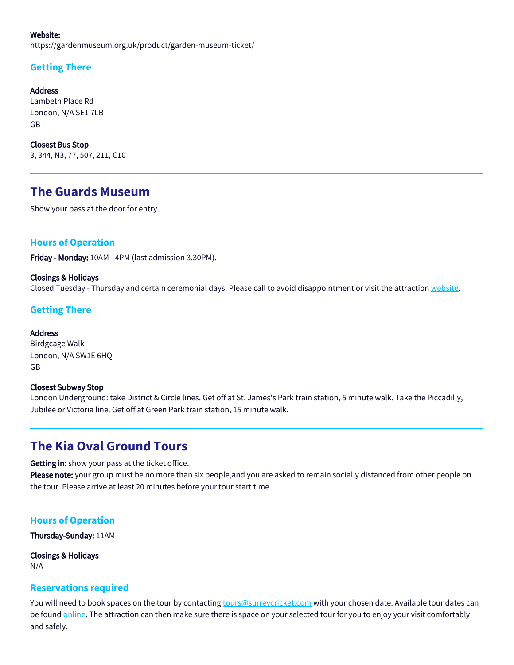### Website:

https://gardenmuseum.org.uk/product/garden-museum-ticket/

# **Getting There**

**Address** Lambeth Place Rd London, N/A SE1 7LB GB

Closest Bus Stop 3, 344, N3, 77, 507, 211, C10

# **The Guards Museum**

Show your pass at the door for entry.

## **Hours of Operation**

Friday - Monday: 10AM - 4PM (last admission 3.30PM).

## Closings & Holidays Closed Tuesday - Thursday and certain ceremonial days. Please call to avoid disappointment or visit the attraction [website](http://www.theguardsmuseum.com/).

# **Getting There**

**Address** Birdgcage Walk London, N/A SW1E 6HQ GB

### Closest Subway Stop

London Underground: take District & Circle lines. Get off at St. James's Park train station, 5 minute walk. Take the Piccadilly, Jubilee or Victoria line. Get off at Green Park train station, 15 minute walk.

# **The Kia Oval Ground Tours**

Getting in: show your pass at the ticket office.

Please note: your group must be no more than six people, and you are asked to remain socially distanced from other people on the tour. Please arrive at least 20 minutes before your tour start time.

## **Hours of Operation**

Thursday-Sunday: 11AM

Closings & Holidays N/A

### **Reservations required**

You will need to book spaces on the tour by contacting [tours@surreycricket.com](mailto:tours@surreycricket.com) with your chosen date. Available tour dates can be found [online.](https://bookings.kiaoval.com/tours/booking/default.htm) The attraction can then make sure there is space on your selected tour for you to enjoy your visit comfortably and safely.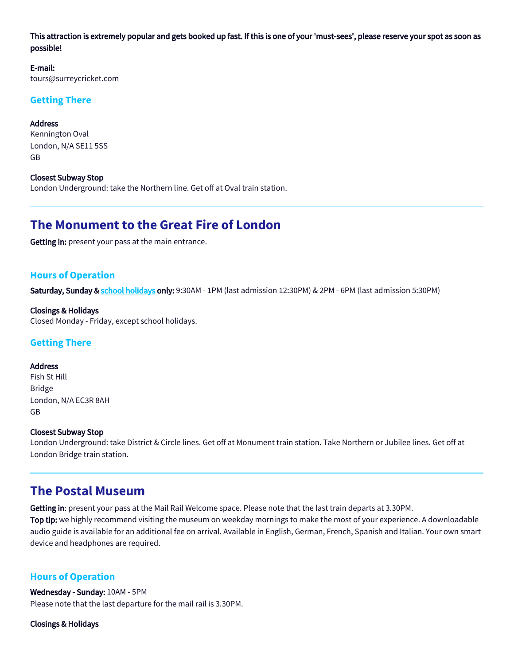This attraction is extremely popular and gets booked up fast. If this is one of your 'must-sees', please reserve your spot as soon as possible!

E-mail: tours@surreycricket.com

## **Getting There**

**Address** Kennington Oval London, N/A SE11 5SS GB

Closest Subway Stop London Underground: take the Northern line. Get off at Oval train station.

# **The Monument to the Great Fire of London**

Getting in: present your pass at the main entrance.

## **Hours of Operation**

Saturday, Sunday & [school holidays](https://www.southwark.gov.uk/schools-and-education/school-term-and-holiday-dates?article) only: 9:30AM - 1PM (last admission 12:30PM) & 2PM - 6PM (last admission 5:30PM)

Closings & Holidays Closed Monday - Friday, except school holidays.

## **Getting There**

#### Address

Fish St Hill Bridge London, N/A EC3R 8AH GB

#### Closest Subway Stop

London Underground: take District & Circle lines. Get off at Monument train station. Take Northern or Jubilee lines. Get off at London Bridge train station.

# **The Postal Museum**

Getting in: present your pass at the Mail Rail Welcome space. Please note that the last train departs at 3.30PM. Top tip: we highly recommend visiting the museum on weekday mornings to make the most of your experience. A downloadable audio guide is available for an additional fee on arrival. Available in English, German, French, Spanish and Italian. Your own smart device and headphones are required.

## **Hours of Operation**

Wednesday - Sunday: 10AM - 5PM Please note that the last departure for the mail rail is 3.30PM.

Closings & Holidays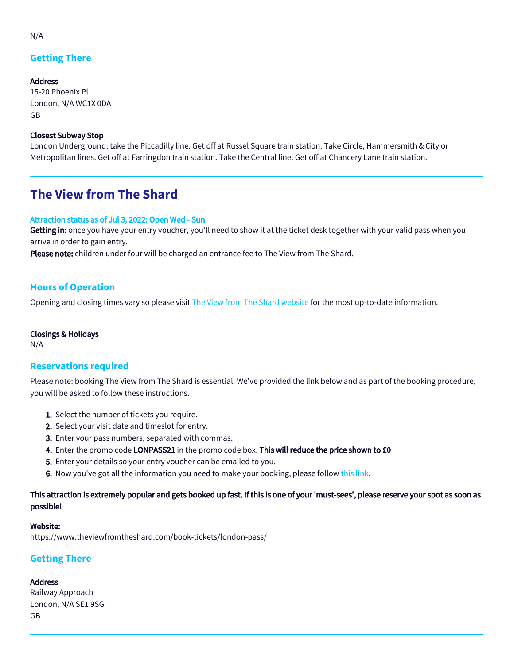# **Getting There**

Address 15-20 Phoenix Pl London, N/A WC1X 0DA GB

### Closest Subway Stop

London Underground: take the Piccadilly line. Get off at Russel Square train station. Take Circle, Hammersmith & City or Metropolitan lines. Get off at Farringdon train station. Take the Central line. Get off at Chancery Lane train station.

# **The View from The Shard**

#### Attraction status as of Jul 3, 2022: Open Wed - Sun

Getting in: once you have your entry voucher, you'll need to show it at the ticket desk together with your valid pass when you arrive in order to gain entry.

Please note: children under four will be charged an entrance fee to The View from The Shard.

### **Hours of Operation**

Opening and closing times vary so please visit [The View from The Shard website](https://www.theviewfromtheshard.com/plan-your-visit/opening-times/) for the most up-to-date information.

#### Closings & Holidays

N/A

### **Reservations required**

Please note: booking The View from The Shard is essential. We've provided the link below and as part of the booking procedure, you will be asked to follow these instructions.

- 1. Select the number of tickets you require.
- 2. Select your visit date and timeslot for entry.
- 3. Enter your pass numbers, separated with commas.
- **4.** Enter the promo code **LONPASS21** in the promo code box. **This will reduce the price shown to £0**
- 5. Enter your details so your entry voucher can be emailed to you.
- **6.** Now you've got all the information you need to make your booking, please follow <u>this link</u>.

### This attraction is extremely popular and gets booked up fast. If this is one of your 'must-sees', please reserve your spot as soon as possible!

#### Website:

https://www.theviewfromtheshard.com/book-tickets/london-pass/

## **Getting There**

### Address Railway Approach London, N/A SE1 9SG GB

N/A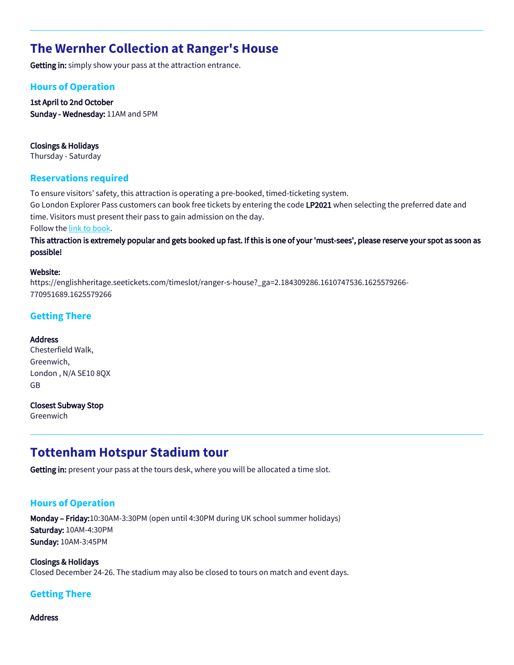# **The Wernher Collection at Ranger's House**

Getting in: simply show your pass at the attraction entrance.

## **Hours of Operation**

1st April to 2nd October Sunday - Wednesday: 11AM and 5PM

Closings & Holidays Thursday - Saturday

### **Reservations required**

To ensure visitors' safety, this attraction is operating a pre-booked, timed-ticketing system.

Go London Explorer Pass customers can book free tickets by entering the code LP2021 when selecting the preferred date and time. Visitors must present their pass to gain admission on the day.

Follow the [link to book.](https://englishheritage.seetickets.com/timeslot/ranger-s-house?_ga=2.184309286.1610747536.1625579266-770951689.1625579266)

### This attraction is extremely popular and gets booked up fast. If this is one of your 'must-sees', please reserve your spot as soon as possible!

### Website:

https://englishheritage.seetickets.com/timeslot/ranger-s-house?\_ga=2.184309286.1610747536.1625579266- 770951689.1625579266

## **Getting There**

### **Address**

Chesterfield Walk, Greenwich, London , N/A SE10 8QX GB

#### Closest Subway Stop

Greenwich

# **Tottenham Hotspur Stadium tour**

Getting in: present your pass at the tours desk, where you will be allocated a time slot.

# **Hours of Operation**

Monday – Friday:10:30AM-3:30PM (open until 4:30PM during UK school summer holidays) Saturday: 10AM-4:30PM Sunday: 10AM-3:45PM

Closings & Holidays Closed December 24-26. The stadium may also be closed to tours on match and event days.

# **Getting There**

#### Address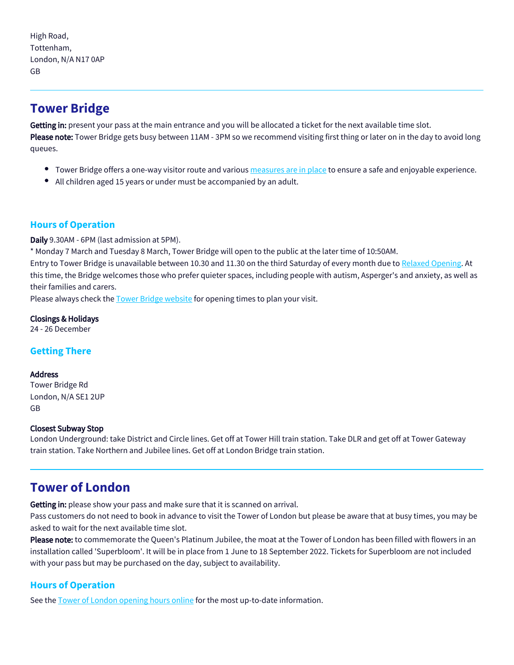High Road, Tottenham, London, N/A N17 0AP GB

# **Tower Bridge**

Getting in: present your pass at the main entrance and you will be allocated a ticket for the next available time slot. Please note: Tower Bridge gets busy between 11AM - 3PM so we recommend visiting first thing or later on in the day to avoid long queues.

- Tower Bridge offers a one-way visitor route and various [measures are in place](https://www.towerbridge.org.uk/your-visit/visitor-information) to ensure a safe and enjoyable experience.
- All children aged 15 years or under must be accompanied by an adult.

# **Hours of Operation**

Daily 9.30AM - 6PM (last admission at 5PM).

\* Monday 7 March and Tuesday 8 March, Tower Bridge will open to the public at the later time of 10:50AM.

Entry to Tower Bridge is unavailable between 10.30 and 11.30 on the third Saturday of every month due to [Relaxed Opening.](https://www.towerbridge.org.uk/whats-on/relaxed-opening) At this time, the Bridge welcomes those who prefer quieter spaces, including people with autism, Asperger's and anxiety, as well as their families and carers.

Please always check the [T](https://www.londoneye.com/)[ower Bridge website](https://www.towerbridge.org.uk/) for opening times to plan your visit.

## Closings & Holidays

24 - 26 December

# **Getting There**

### Address

Tower Bridge Rd London, N/A SE1 2UP GB

### Closest Subway Stop

London Underground: take District and Circle lines. Get off at Tower Hill train station. Take DLR and get off at Tower Gateway train station. Take Northern and Jubilee lines. Get off at London Bridge train station.

# **Tower of London**

Getting in: please show your pass and make sure that it is scanned on arrival.

Pass customers do not need to book in advance to visit the Tower of London but please be aware that at busy times, you may be asked to wait for the next available time slot.

Please note: to commemorate the Queen's Platinum Jubilee, the moat at the Tower of London has been filled with flowers in an installation called 'Superbloom'. It will be in place from 1 June to 18 September 2022. Tickets for Superbloom are not included with your pass but may be purchased on the day, subject to availability.

# **Hours of Operation**

See the **Tower of London opening hours online** for the most up-to-date information.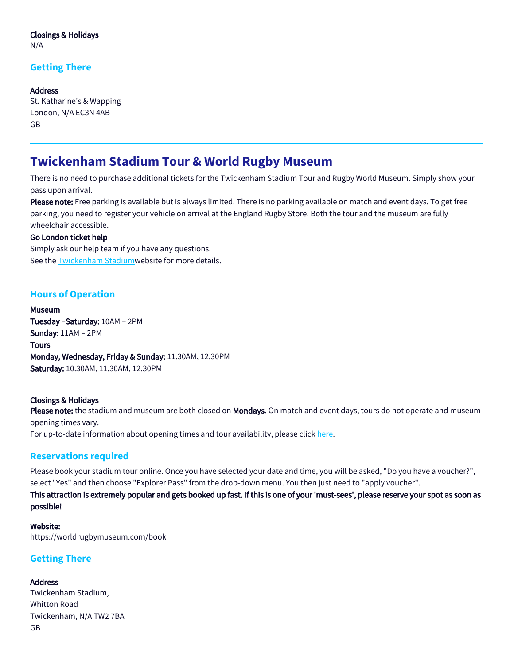# Closings & Holidays

N/A

# **Getting There**

### **Address**

St. Katharine's & Wapping London, N/A EC3N 4AB GB

# **Twickenham Stadium Tour & World Rugby Museum**

There is no need to purchase additional tickets for the Twickenham Stadium Tour and Rugby World Museum. Simply show your pass upon arrival.

Please note: Free parking is available but is always limited. There is no parking available on match and event days. To get free parking, you need to register your vehicle on arrival at the England Rugby Store. Both the tour and the museum are fully wheelchair accessible.

### Go London ticket help

Simply ask our help team if you have any questions. See the [Twickenham Stadium](http://www.worldrugbymuseum.com/visit)website for more details.

# **Hours of Operation**

Museum Tuesday –Saturday: 10AM – 2PM Sunday: 11AM – 2PM **Tours** Monday, Wednesday, Friday & Sunday: 11.30AM, 12.30PM Saturday: 10.30AM, 11.30AM, 12.30PM

### Closings & Holidays

Please note: the stadium and museum are both closed on Mondays. On match and event days, tours do not operate and museum opening times vary.

For up-to-date information about opening times and tour availability, please click [here.](https://www.wtm360.co.uk/twickenham-stadium-world-rugby-museum-1533651498-twickenham-stadium-tour-and-world-rugby-museum.html)

# **Reservations required**

Please book your stadium tour online. Once you have selected your date and time, you will be asked, "Do you have a voucher?", select "Yes" and then choose "Explorer Pass" from the drop-down menu. You then just need to "apply voucher".

This attraction is extremely popular and gets booked up fast. If this is one of your 'must-sees', please reserve your spot as soon as possible!

Website: https://worldrugbymuseum.com/book

# **Getting There**

Address Twickenham Stadium, Whitton Road Twickenham, N/A TW2 7BA GB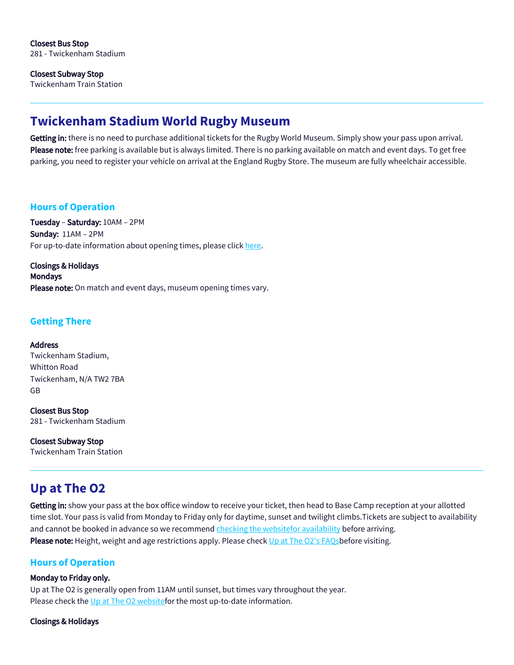Closest Bus Stop 281 - Twickenham Stadium

Closest Subway Stop Twickenham Train Station

# **Twickenham Stadium World Rugby Museum**

Getting in: there is no need to purchase additional tickets for the Rugby World Museum. Simply show your pass upon arrival. Please note: free parking is available but is always limited. There is no parking available on match and event days. To get free parking, you need to register your vehicle on arrival at the England Rugby Store. The museum are fully wheelchair accessible.

## **Hours of Operation**

Tuesday – Saturday: 10AM – 2PM Sunday: 11AM – 2PM For up-to-date information about opening times, please click [here](http://www.worldrugbymuseum.com/visit).

Closings & Holidays Mondays Please note: On match and event days, museum opening times vary.

# **Getting There**

Address Twickenham Stadium, Whitton Road Twickenham, N/A TW2 7BA GB

Closest Bus Stop 281 - Twickenham Stadium

Closest Subway Stop Twickenham Train Station

# **Up at The O2**

Getting in: show your pass at the box office window to receive your ticket, then head to Base Camp reception at your allotted time slot. Your pass is valid from Monday to Friday only for daytime, sunset and twilight climbs.Tickets are subject to availability and cannot be booked in advance so we recommend [checking the websitefor availability](https://book.london-tickets.co.uk/book/2868/select/) before arriving. Please note: Height, weight and age restrictions apply. Please check [Up at The O2's FAQs](https://tickets.aegeurope.com/upattheo2/faq.html)before visiting.

## **Hours of Operation**

### Monday to Friday only.

Up at The O2 is generally open from 11AM until sunset, but times vary throughout the year. Please check the [Up at The O2 website](https://tickets.aegeurope.com/upattheo2/faq.html)for the most up-to-date information.

Closings & Holidays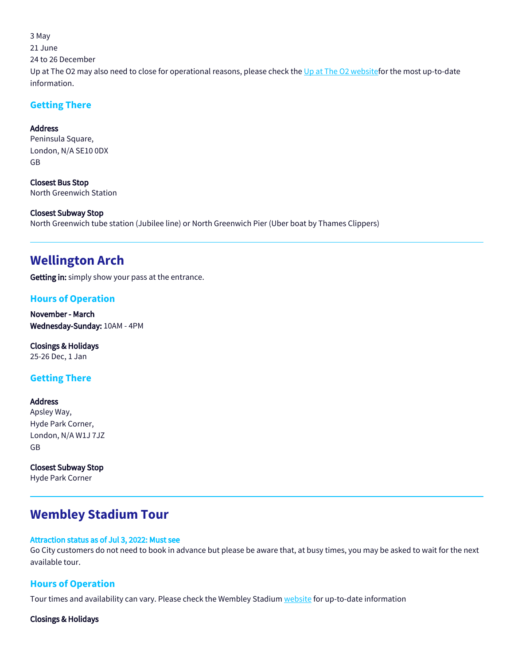3 May 21 June 24 to 26 December Up at The O2 may also need to close for operational reasons, please check the [Up at The O2 websitef](https://tickets.aegeurope.com/upattheo2/faq.html)or the most up-to-date information.

### **Getting There**

#### Address

Peninsula Square, London, N/A SE10 0DX GB

Closest Bus Stop North Greenwich Station

#### Closest Subway Stop

North Greenwich tube station (Jubilee line) or North Greenwich Pier (Uber boat by Thames Clippers)

# **Wellington Arch**

Getting in: simply show your pass at the entrance.

## **Hours of Operation**

November - March Wednesday-Sunday: 10AM - 4PM

Closings & Holidays 25-26 Dec, 1 Jan

## **Getting There**

## Address Apsley Way, Hyde Park Corner, London, N/A W1J 7JZ

Closest Subway Stop

GB

Hyde Park Corner

# **Wembley Stadium Tour**

### Attraction status as of Jul 3, 2022: Must see

Go City customers do not need to book in advance but please be aware that, at busy times, you may be asked to wait for the next available tour.

# **Hours of Operation**

Tour times and availability can vary. Please check the Wembley Stadium [website](https://bookings.wembleytours.com/stadiumtours/booking/default.htm) for up-to-date information

Closings & Holidays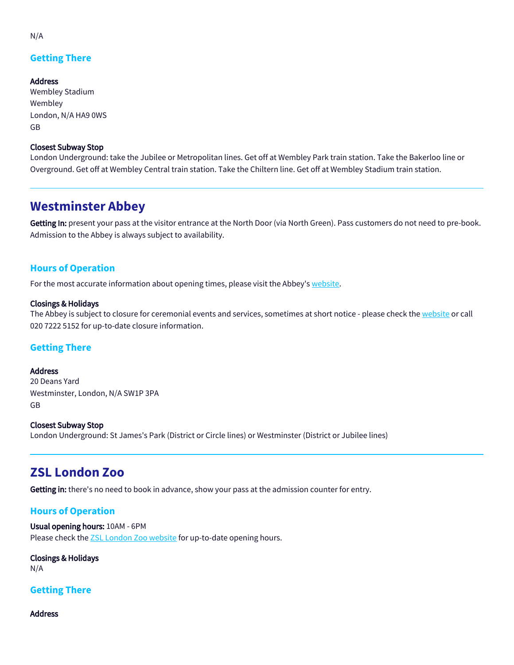# **Getting There**

Address Wembley Stadium Wembley London, N/A HA9 0WS GB

### Closest Subway Stop

London Underground: take the Jubilee or Metropolitan lines. Get off at Wembley Park train station. Take the Bakerloo line or Overground. Get off at Wembley Central train station. Take the Chiltern line. Get off at Wembley Stadium train station.

# **Westminster Abbey**

Getting In: present your pass at the visitor entrance at the North Door (via North Green). Pass customers do not need to pre-book. Admission to the Abbey is always subject to availability.

## **Hours of Operation**

For the most accurate information about opening times, please visit the Abbey's [website](https://www.westminster-abbey.org/visit-us/prices-entry-times).

#### Closings & Holidays

The Abbey is subject to closure for ceremonial events and services, sometimes at short notice - please check the [website](https://www.westminster-abbey.org/visit-us/prices-entry-times) or call 020 7222 5152 for up-to-date closure information.

### **Getting There**

**Address** 20 Deans Yard Westminster, London, N/A SW1P 3PA GB

Closest Subway Stop London Underground: St James's Park (District or Circle lines) or Westminster (District or Jubilee lines)

# **ZSL London Zoo**

Getting in: there's no need to book in advance, show your pass at the admission counter for entry.

## **Hours of Operation**

Usual opening hours: 10AM - 6PM Please check the **ZSL London Zoo website** for up-to-date opening hours.

Closings & Holidays N/A

## **Getting There**

#### Address